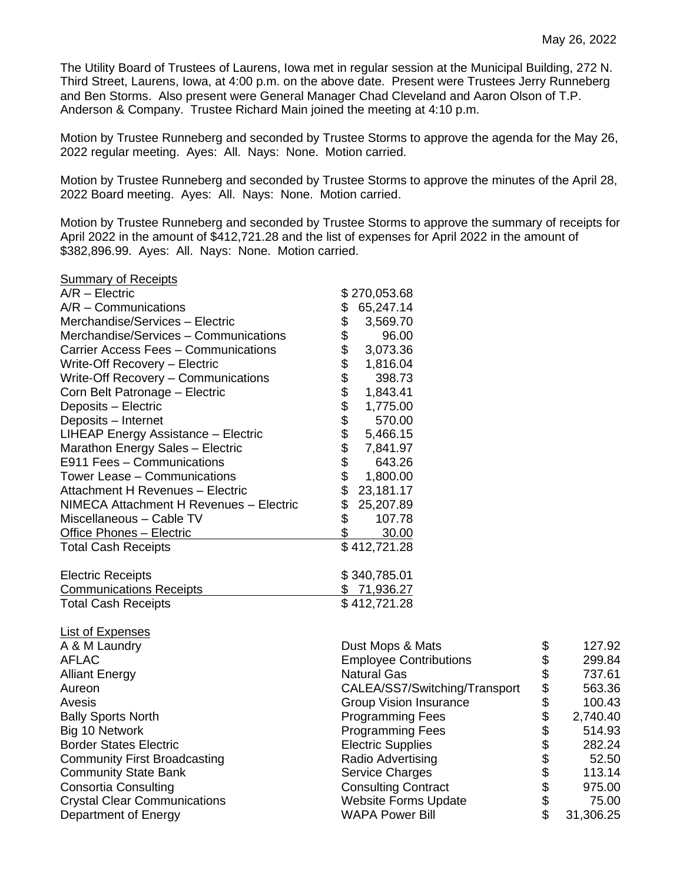The Utility Board of Trustees of Laurens, Iowa met in regular session at the Municipal Building, 272 N. Third Street, Laurens, Iowa, at 4:00 p.m. on the above date. Present were Trustees Jerry Runneberg and Ben Storms. Also present were General Manager Chad Cleveland and Aaron Olson of T.P. Anderson & Company. Trustee Richard Main joined the meeting at 4:10 p.m.

Motion by Trustee Runneberg and seconded by Trustee Storms to approve the agenda for the May 26, 2022 regular meeting. Ayes: All. Nays: None. Motion carried.

Motion by Trustee Runneberg and seconded by Trustee Storms to approve the minutes of the April 28, 2022 Board meeting. Ayes: All. Nays: None. Motion carried.

Motion by Trustee Runneberg and seconded by Trustee Storms to approve the summary of receipts for April 2022 in the amount of \$412,721.28 and the list of expenses for April 2022 in the amount of \$382,896.99. Ayes: All. Nays: None. Motion carried.

## Summary of Receipts

| $A/R$ – Electric                        |                | \$270,053.68 |
|-----------------------------------------|----------------|--------------|
| $A/R -$ Communications                  | \$             | 65,247.14    |
| Merchandise/Services - Electric         | \$             | 3,569.70     |
| Merchandise/Services - Communications   | \$             | 96.00        |
| Carrier Access Fees - Communications    |                | 3,073.36     |
| Write-Off Recovery - Electric           |                | 1,816.04     |
| Write-Off Recovery - Communications     |                | 398.73       |
| Corn Belt Patronage - Electric          | \$\$\$\$\$\$\$ | 1,843.41     |
| Deposits - Electric                     |                | 1,775.00     |
| Deposits - Internet                     |                | 570.00       |
| LIHEAP Energy Assistance - Electric     |                | 5,466.15     |
| Marathon Energy Sales - Electric        | \$\$\$\$       | 7,841.97     |
| E911 Fees - Communications              |                | 643.26       |
| Tower Lease - Communications            |                | 1,800.00     |
| Attachment H Revenues - Electric        | \$             | 23,181.17    |
| NIMECA Attachment H Revenues - Electric | \$             | 25,207.89    |
| Miscellaneous - Cable TV                | \$             | 107.78       |
| <b>Office Phones - Electric</b>         | \$             | 30.00        |
| <b>Total Cash Receipts</b>              |                | \$412,721.28 |
| <b>Electric Receipts</b>                |                | \$340,785.01 |
| <b>Communications Receipts</b>          |                | \$71,936.27  |
| <b>Total Cash Receipts</b>              |                | \$412,721.28 |

| \$<br>127.92    |
|-----------------|
| \$<br>299.84    |
| \$<br>737.61    |
| \$<br>563.36    |
| \$<br>100.43    |
| \$<br>2,740.40  |
| \$<br>514.93    |
| \$<br>282.24    |
| \$<br>52.50     |
| \$<br>113.14    |
| \$<br>975.00    |
| \$<br>75.00     |
| \$<br>31,306.25 |
|                 |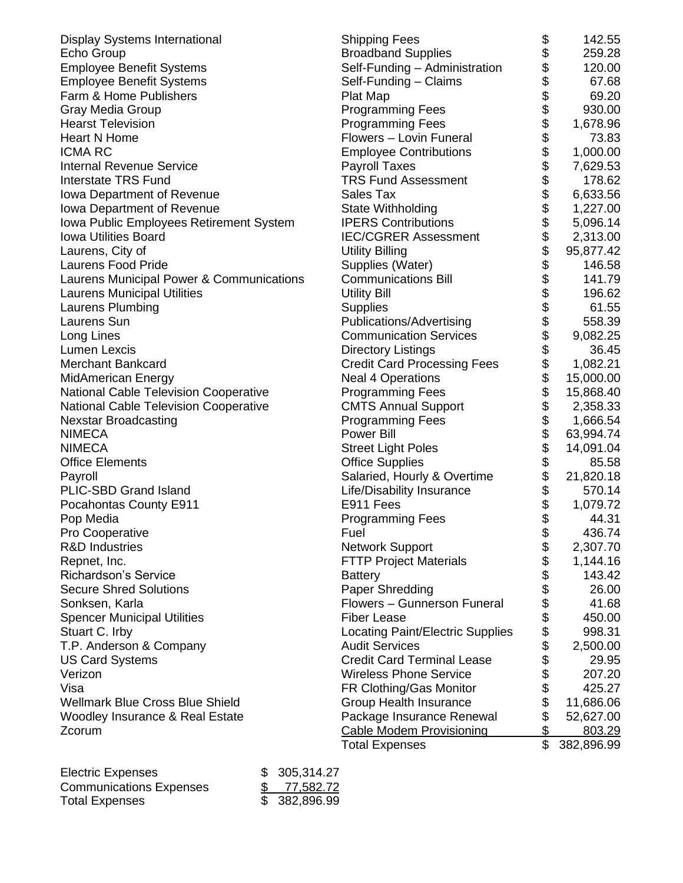| Display Systems International                | <b>Shipping Fees</b>               | \$\$\$\$\$\$\$\$\$\$\$\$\$\$\$\$\$\$\$\$\$ | 142.55     |
|----------------------------------------------|------------------------------------|--------------------------------------------|------------|
| Echo Group                                   | <b>Broadband Supplies</b>          |                                            | 259.28     |
| <b>Employee Benefit Systems</b>              | Self-Funding - Administration      |                                            | 120.00     |
| <b>Employee Benefit Systems</b>              | Self-Funding - Claims              |                                            | 67.68      |
| Farm & Home Publishers                       | Plat Map                           |                                            | 69.20      |
| Gray Media Group                             | <b>Programming Fees</b>            |                                            | 930.00     |
| <b>Hearst Television</b>                     | <b>Programming Fees</b>            |                                            | 1,678.96   |
| <b>Heart N Home</b>                          | Flowers - Lovin Funeral            |                                            | 73.83      |
| <b>ICMA RC</b>                               | <b>Employee Contributions</b>      |                                            | 1,000.00   |
| <b>Internal Revenue Service</b>              | <b>Payroll Taxes</b>               |                                            | 7,629.53   |
| <b>Interstate TRS Fund</b>                   | <b>TRS Fund Assessment</b>         |                                            | 178.62     |
| Iowa Department of Revenue                   | Sales Tax                          |                                            | 6,633.56   |
| Iowa Department of Revenue                   | State Withholding                  |                                            | 1,227.00   |
| Iowa Public Employees Retirement System      | <b>IPERS Contributions</b>         |                                            | 5,096.14   |
| <b>Iowa Utilities Board</b>                  | <b>IEC/CGRER Assessment</b>        |                                            | 2,313.00   |
| Laurens, City of                             | <b>Utility Billing</b>             |                                            | 95,877.42  |
| <b>Laurens Food Pride</b>                    | Supplies (Water)                   |                                            | 146.58     |
| Laurens Municipal Power & Communications     | <b>Communications Bill</b>         |                                            | 141.79     |
| <b>Laurens Municipal Utilities</b>           | <b>Utility Bill</b>                |                                            | 196.62     |
| Laurens Plumbing                             | <b>Supplies</b>                    |                                            | 61.55      |
| Laurens Sun                                  | Publications/Advertising           |                                            | 558.39     |
| Long Lines                                   | <b>Communication Services</b>      | \$\$\$\$\$\$\$\$\$\$\$                     | 9,082.25   |
| <b>Lumen Lexcis</b>                          | <b>Directory Listings</b>          |                                            | 36.45      |
| <b>Merchant Bankcard</b>                     | <b>Credit Card Processing Fees</b> |                                            | 1,082.21   |
| <b>MidAmerican Energy</b>                    | <b>Neal 4 Operations</b>           |                                            | 15,000.00  |
| National Cable Television Cooperative        | <b>Programming Fees</b>            |                                            | 15,868.40  |
| <b>National Cable Television Cooperative</b> | <b>CMTS Annual Support</b>         |                                            | 2,358.33   |
| <b>Nexstar Broadcasting</b>                  | <b>Programming Fees</b>            | \$                                         | 1,666.54   |
| <b>NIMECA</b>                                | <b>Power Bill</b>                  |                                            | 63,994.74  |
| <b>NIMECA</b>                                | <b>Street Light Poles</b>          |                                            | 14,091.04  |
| <b>Office Elements</b>                       | <b>Office Supplies</b>             | \$\$\$\$\$                                 | 85.58      |
| Payroll                                      | Salaried, Hourly & Overtime        |                                            | 21,820.18  |
| PLIC-SBD Grand Island                        | Life/Disability Insurance          |                                            | 570.14     |
| Pocahontas County E911                       | E911 Fees                          |                                            | 1,079.72   |
| Pop Media                                    | <b>Programming Fees</b>            | \$                                         | 44.31      |
| Pro Cooperative                              | Fuel                               | \$                                         | 436.74     |
| <b>R&amp;D Industries</b>                    | <b>Network Support</b>             | \$                                         | 2,307.70   |
| Repnet, Inc.                                 | <b>FTTP Project Materials</b>      | \$                                         | 1,144.16   |
| <b>Richardson's Service</b>                  | <b>Battery</b>                     | \$                                         | 143.42     |
| <b>Secure Shred Solutions</b>                | Paper Shredding                    |                                            | 26.00      |
| Sonksen, Karla                               | Flowers - Gunnerson Funeral        | \$\$\$\$\$                                 | 41.68      |
| <b>Spencer Municipal Utilities</b>           | <b>Fiber Lease</b>                 |                                            | 450.00     |
| Stuart C. Irby                               | Locating Paint/Electric Supplies   |                                            | 998.31     |
| T.P. Anderson & Company                      | <b>Audit Services</b>              |                                            | 2,500.00   |
| <b>US Card Systems</b>                       | <b>Credit Card Terminal Lease</b>  | \$                                         | 29.95      |
| Verizon                                      | <b>Wireless Phone Service</b>      | \$                                         | 207.20     |
| Visa                                         | FR Clothing/Gas Monitor            | \$                                         | 425.27     |
| <b>Wellmark Blue Cross Blue Shield</b>       | Group Health Insurance             | \$                                         | 11,686.06  |
| Woodley Insurance & Real Estate              | Package Insurance Renewal          | \$                                         | 52,627.00  |
| Zcorum                                       | <b>Cable Modem Provisioning</b>    | \$                                         | 803.29     |
|                                              | <b>Total Expenses</b>              | \$                                         | 382,896.99 |

| <b>Electric Expenses</b>       | \$305,314.27  |
|--------------------------------|---------------|
| <b>Communications Expenses</b> | \$77,582.72   |
| <b>Total Expenses</b>          | \$ 382,896.99 |